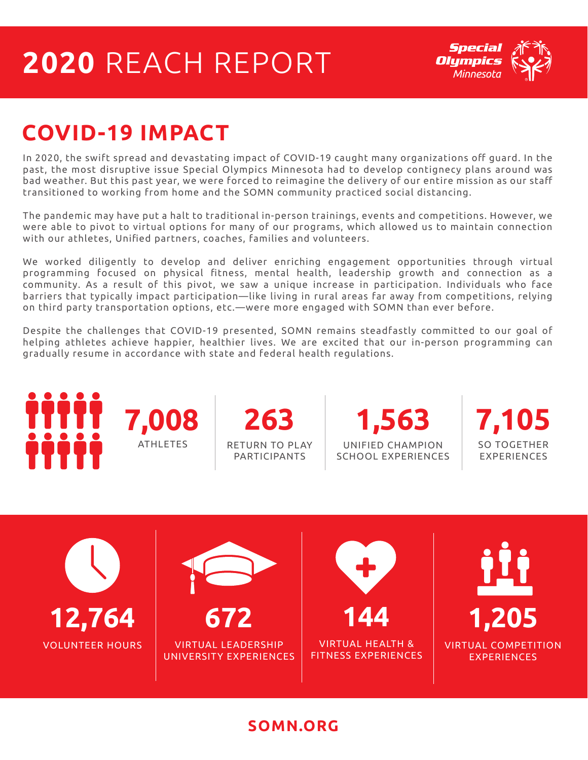## **2020** REACH REPORT



### **COVID-19 IMPACT**

In 2020, the swift spread and devastating impact of COVID-19 caught many organizations off guard. In the past, the most disruptive issue Special Olympics Minnesota had to develop contignecy plans around was bad weather. But this past year, we were forced to reimagine the delivery of our entire mission as our staff transitioned to working from home and the SOMN community practiced social distancing.

The pandemic may have put a halt to traditional in-person trainings, events and competitions. However, we were able to pivot to virtual options for many of our programs, which allowed us to maintain connection with our athletes, Unified partners, coaches, families and volunteers.

We worked diligently to develop and deliver enriching engagement opportunities through virtual programming focused on physical fitness, mental health, leadership growth and connection as a community. As a result of this pivot, we saw a unique increase in participation. Individuals who face barriers that typically impact participation—like living in rural areas far away from competitions, relying on third party transportation options, etc.—were more engaged with SOMN than ever before.

Despite the challenges that COVID-19 presented, SOMN remains steadfastly committed to our goal of helping athletes achieve happier, healthier lives. We are excited that our in-person programming can gradually resume in accordance with state and federal health regulations.



#### **SOMN.ORG**